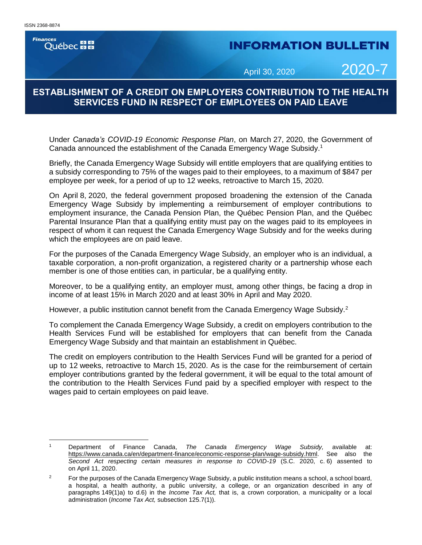**Finances Ouébec** 

# **INFORMATION BULLETIN**

April 30, 2020 2020-7

# **ESTABLISHMENT OF A CREDIT ON EMPLOYERS CONTRIBUTION TO THE HEALTH SERVICES FUND IN RESPECT OF EMPLOYEES ON PAID LEAVE**

Under *Canada's COVID-19 Economic Response Plan*, on March 27, 2020, the Government of Canada announced the establishment of the Canada Emergency Wage Subsidy.<sup>1</sup>

Briefly, the Canada Emergency Wage Subsidy will entitle employers that are qualifying entities to a subsidy corresponding to 75% of the wages paid to their employees, to a maximum of \$847 per employee per week, for a period of up to 12 weeks, retroactive to March 15, 2020.

On April 8, 2020, the federal government proposed broadening the extension of the Canada Emergency Wage Subsidy by implementing a reimbursement of employer contributions to employment insurance, the Canada Pension Plan, the Québec Pension Plan, and the Québec Parental Insurance Plan that a qualifying entity must pay on the wages paid to its employees in respect of whom it can request the Canada Emergency Wage Subsidy and for the weeks during which the employees are on paid leave.

For the purposes of the Canada Emergency Wage Subsidy, an employer who is an individual, a taxable corporation, a non-profit organization, a registered charity or a partnership whose each member is one of those entities can, in particular, be a qualifying entity.

Moreover, to be a qualifying entity, an employer must, among other things, be facing a drop in income of at least 15% in March 2020 and at least 30% in April and May 2020.

However, a public institution cannot benefit from the Canada Emergency Wage Subsidy.<sup>2</sup>

To complement the Canada Emergency Wage Subsidy, a credit on employers contribution to the Health Services Fund will be established for employers that can benefit from the Canada Emergency Wage Subsidy and that maintain an establishment in Québec.

The credit on employers contribution to the Health Services Fund will be granted for a period of up to 12 weeks, retroactive to March 15, 2020. As is the case for the reimbursement of certain employer contributions granted by the federal government, it will be equal to the total amount of the contribution to the Health Services Fund paid by a specified employer with respect to the wages paid to certain employees on paid leave.

 $\overline{1}$ <sup>1</sup> Department of Finance Canada, *The Canada Emergency Wage Subsidy,* available at: [https://www.canada.ca/en/department-finance/economic-response-plan/wage-subsidy.html.](https://www.canada.ca/en/department-finance/economic-response-plan/wage-subsidy.html) See also the *Second Act respecting certain measures in response to COVID-19* (S.C. 2020, c. 6) assented to on April 11, 2020.

<sup>&</sup>lt;sup>2</sup> For the purposes of the Canada Emergency Wage Subsidy, a public institution means a school, a school board, a hospital, a health authority, a public university, a college, or an organization described in any of paragraphs 149(1)a) to d.6) in the *Income Tax Act,* that is, a crown corporation, a municipality or a local administration (*Income Tax Act,* subsection 125.7(1)).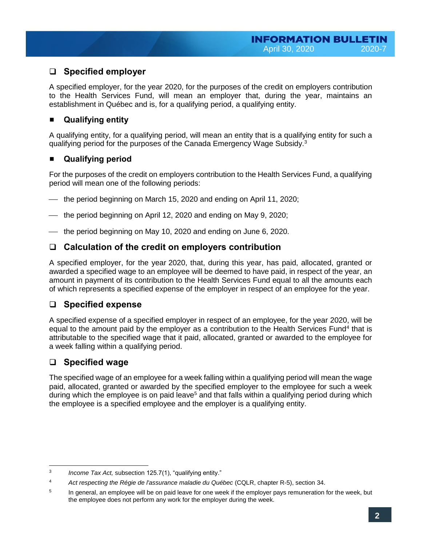## ❑ **Specified employer**

A specified employer, for the year 2020, for the purposes of the credit on employers contribution to the Health Services Fund, will mean an employer that, during the year, maintains an establishment in Québec and is, for a qualifying period, a qualifying entity.

#### **Qualifying entity**

A qualifying entity, for a qualifying period, will mean an entity that is a qualifying entity for such a qualifying period for the purposes of the Canada Emergency Wage Subsidy.<sup>3</sup>

#### **Qualifying period**

For the purposes of the credit on employers contribution to the Health Services Fund, a qualifying period will mean one of the following periods:

- the period beginning on March 15, 2020 and ending on April 11, 2020;
- the period beginning on April 12, 2020 and ending on May 9, 2020;
- the period beginning on May 10, 2020 and ending on June 6, 2020.

#### ❑ **Calculation of the credit on employers contribution**

A specified employer, for the year 2020, that, during this year, has paid, allocated, granted or awarded a specified wage to an employee will be deemed to have paid, in respect of the year, an amount in payment of its contribution to the Health Services Fund equal to all the amounts each of which represents a specified expense of the employer in respect of an employee for the year.

#### ❑ **Specified expense**

A specified expense of a specified employer in respect of an employee, for the year 2020, will be equal to the amount paid by the employer as a contribution to the Health Services Fund<sup>4</sup> that is attributable to the specified wage that it paid, allocated, granted or awarded to the employee for a week falling within a qualifying period.

# ❑ **Specified wage**

The specified wage of an employee for a week falling within a qualifying period will mean the wage paid, allocated, granted or awarded by the specified employer to the employee for such a week during which the employee is on paid leave<sup>5</sup> and that falls within a qualifying period during which the employee is a specified employee and the employer is a qualifying entity.

l 3 *Income Tax Act,* subsection 125.7(1), "qualifying entity."

<sup>4</sup> *Act respecting the Régie de l'assurance maladie du Québec* (CQLR, chapter R-5), section 34.

<sup>5</sup> In general, an employee will be on paid leave for one week if the employer pays remuneration for the week, but the employee does not perform any work for the employer during the week.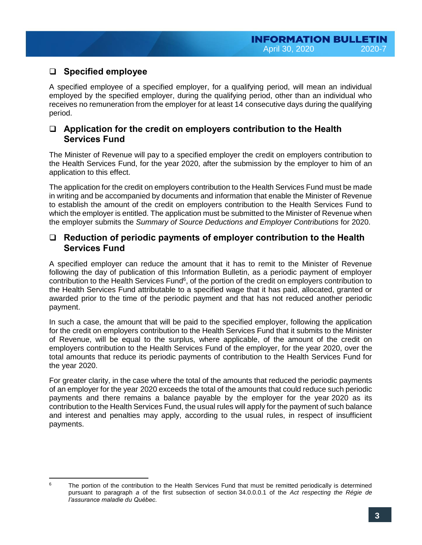# ❑ **Specified employee**

A specified employee of a specified employer, for a qualifying period, will mean an individual employed by the specified employer, during the qualifying period, other than an individual who receives no remuneration from the employer for at least 14 consecutive days during the qualifying period.

#### ❑ **Application for the credit on employers contribution to the Health Services Fund**

The Minister of Revenue will pay to a specified employer the credit on employers contribution to the Health Services Fund, for the year 2020, after the submission by the employer to him of an application to this effect.

The application for the credit on employers contribution to the Health Services Fund must be made in writing and be accompanied by documents and information that enable the Minister of Revenue to establish the amount of the credit on employers contribution to the Health Services Fund to which the employer is entitled. The application must be submitted to the Minister of Revenue when the employer submits the *Summary of Source Deductions and Employer Contributions* for 2020.

#### ❑ **Reduction of periodic payments of employer contribution to the Health Services Fund**

A specified employer can reduce the amount that it has to remit to the Minister of Revenue following the day of publication of this Information Bulletin, as a periodic payment of employer contribution to the Health Services Fund<sup>6</sup>, of the portion of the credit on employers contribution to the Health Services Fund attributable to a specified wage that it has paid, allocated, granted or awarded prior to the time of the periodic payment and that has not reduced another periodic payment.

In such a case, the amount that will be paid to the specified employer, following the application for the credit on employers contribution to the Health Services Fund that it submits to the Minister of Revenue, will be equal to the surplus, where applicable, of the amount of the credit on employers contribution to the Health Services Fund of the employer, for the year 2020, over the total amounts that reduce its periodic payments of contribution to the Health Services Fund for the year 2020.

For greater clarity, in the case where the total of the amounts that reduced the periodic payments of an employer for the year 2020 exceeds the total of the amounts that could reduce such periodic payments and there remains a balance payable by the employer for the year 2020 as its contribution to the Health Services Fund, the usual rules will apply for the payment of such balance and interest and penalties may apply, according to the usual rules, in respect of insufficient payments.

l <sup>6</sup> The portion of the contribution to the Health Services Fund that must be remitted periodically is determined pursuant to paragraph *a* of the first subsection of section 34.0.0.0.1 of the *Act respecting the Régie de l'assurance maladie du Québec.*